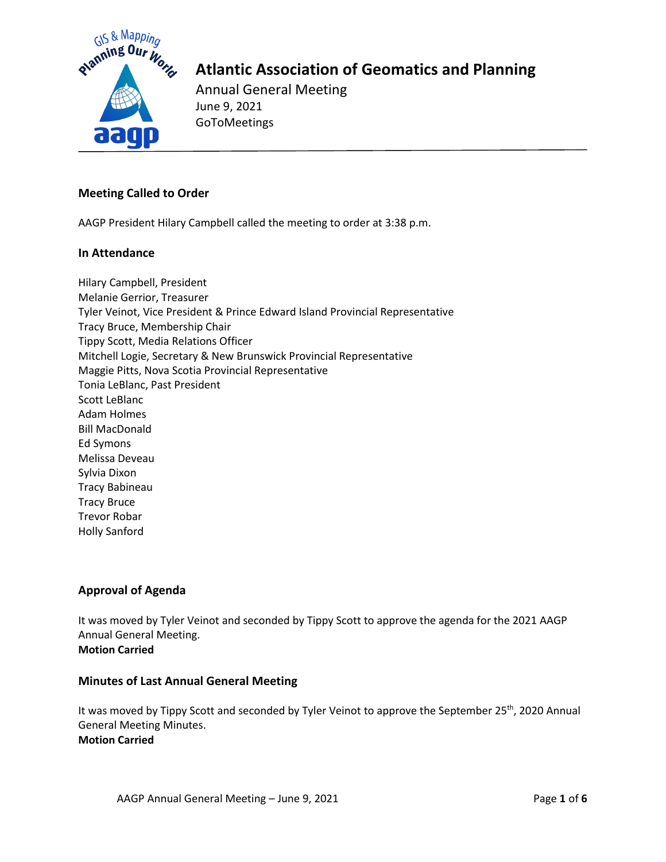

Annual General Meeting June 9, 2021 GoToMeetings

## **Meeting Called to Order**

AAGP President Hilary Campbell called the meeting to order at 3:38 p.m.

### **In Attendance**

Hilary Campbell, President Melanie Gerrior, Treasurer Tyler Veinot, Vice President & Prince Edward Island Provincial Representative Tracy Bruce, Membership Chair Tippy Scott, Media Relations Officer Mitchell Logie, Secretary & New Brunswick Provincial Representative Maggie Pitts, Nova Scotia Provincial Representative Tonia LeBlanc, Past President Scott LeBlanc Adam Holmes Bill MacDonald Ed Symons Melissa Deveau Sylvia Dixon Tracy Babineau Tracy Bruce Trevor Robar Holly Sanford

## **Approval of Agenda**

It was moved by Tyler Veinot and seconded by Tippy Scott to approve the agenda for the 2021 AAGP Annual General Meeting. **Motion Carried**

#### **Minutes of Last Annual General Meeting**

It was moved by Tippy Scott and seconded by Tyler Veinot to approve the September 25<sup>th</sup>, 2020 Annual General Meeting Minutes. **Motion Carried**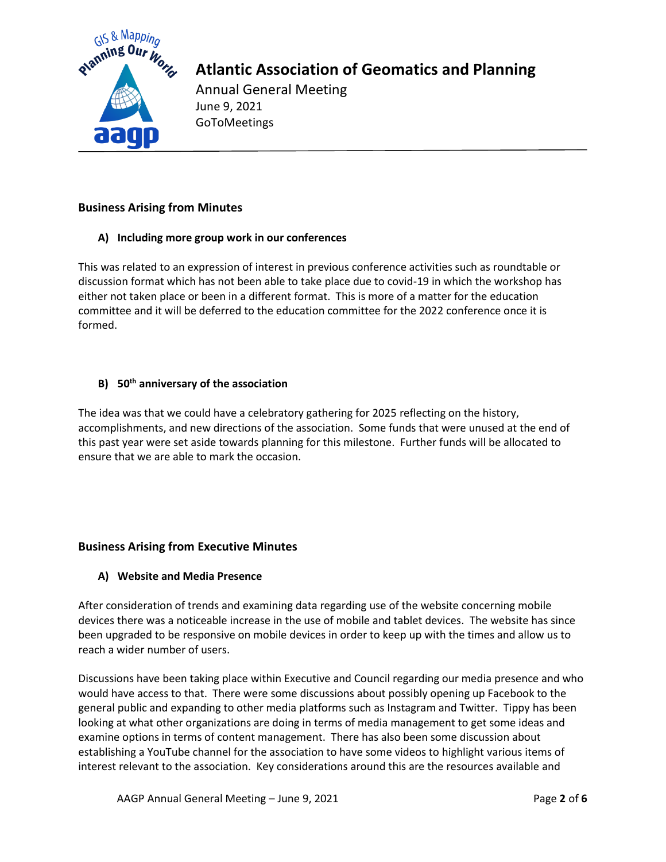

Annual General Meeting June 9, 2021 GoToMeetings

## **Business Arising from Minutes**

### **A) Including more group work in our conferences**

This was related to an expression of interest in previous conference activities such as roundtable or discussion format which has not been able to take place due to covid-19 in which the workshop has either not taken place or been in a different format. This is more of a matter for the education committee and it will be deferred to the education committee for the 2022 conference once it is formed.

## **B) 50th anniversary of the association**

The idea was that we could have a celebratory gathering for 2025 reflecting on the history, accomplishments, and new directions of the association. Some funds that were unused at the end of this past year were set aside towards planning for this milestone. Further funds will be allocated to ensure that we are able to mark the occasion.

## **Business Arising from Executive Minutes**

## **A) Website and Media Presence**

After consideration of trends and examining data regarding use of the website concerning mobile devices there was a noticeable increase in the use of mobile and tablet devices. The website has since been upgraded to be responsive on mobile devices in order to keep up with the times and allow us to reach a wider number of users.

Discussions have been taking place within Executive and Council regarding our media presence and who would have access to that. There were some discussions about possibly opening up Facebook to the general public and expanding to other media platforms such as Instagram and Twitter. Tippy has been looking at what other organizations are doing in terms of media management to get some ideas and examine options in terms of content management. There has also been some discussion about establishing a YouTube channel for the association to have some videos to highlight various items of interest relevant to the association. Key considerations around this are the resources available and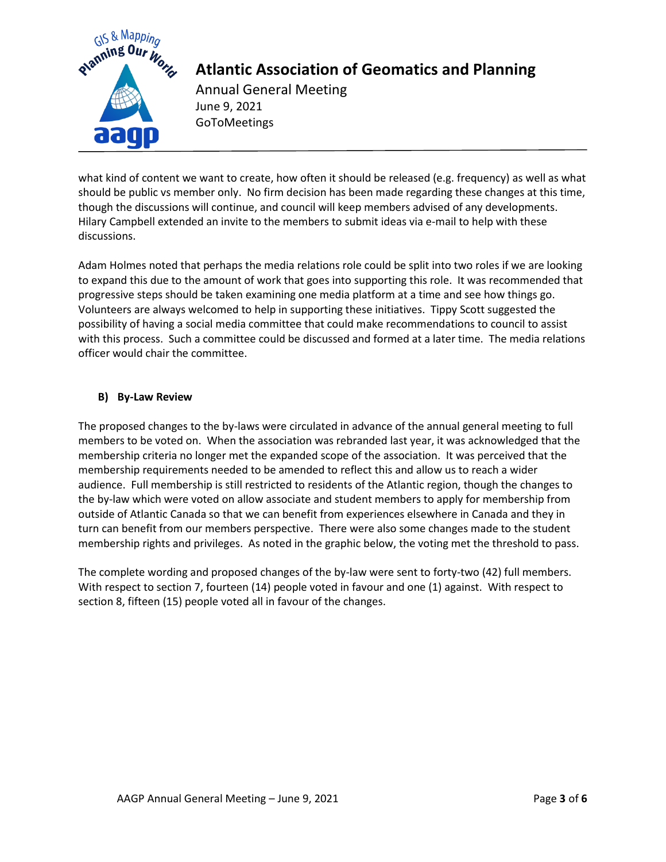

Annual General Meeting June 9, 2021 GoToMeetings

what kind of content we want to create, how often it should be released (e.g. frequency) as well as what should be public vs member only. No firm decision has been made regarding these changes at this time, though the discussions will continue, and council will keep members advised of any developments. Hilary Campbell extended an invite to the members to submit ideas via e-mail to help with these discussions.

Adam Holmes noted that perhaps the media relations role could be split into two roles if we are looking to expand this due to the amount of work that goes into supporting this role. It was recommended that progressive steps should be taken examining one media platform at a time and see how things go. Volunteers are always welcomed to help in supporting these initiatives. Tippy Scott suggested the possibility of having a social media committee that could make recommendations to council to assist with this process. Such a committee could be discussed and formed at a later time. The media relations officer would chair the committee.

## **B) By-Law Review**

The proposed changes to the by-laws were circulated in advance of the annual general meeting to full members to be voted on. When the association was rebranded last year, it was acknowledged that the membership criteria no longer met the expanded scope of the association. It was perceived that the membership requirements needed to be amended to reflect this and allow us to reach a wider audience. Full membership is still restricted to residents of the Atlantic region, though the changes to the by-law which were voted on allow associate and student members to apply for membership from outside of Atlantic Canada so that we can benefit from experiences elsewhere in Canada and they in turn can benefit from our members perspective. There were also some changes made to the student membership rights and privileges. As noted in the graphic below, the voting met the threshold to pass.

The complete wording and proposed changes of the by-law were sent to forty-two (42) full members. With respect to section 7, fourteen (14) people voted in favour and one (1) against. With respect to section 8, fifteen (15) people voted all in favour of the changes.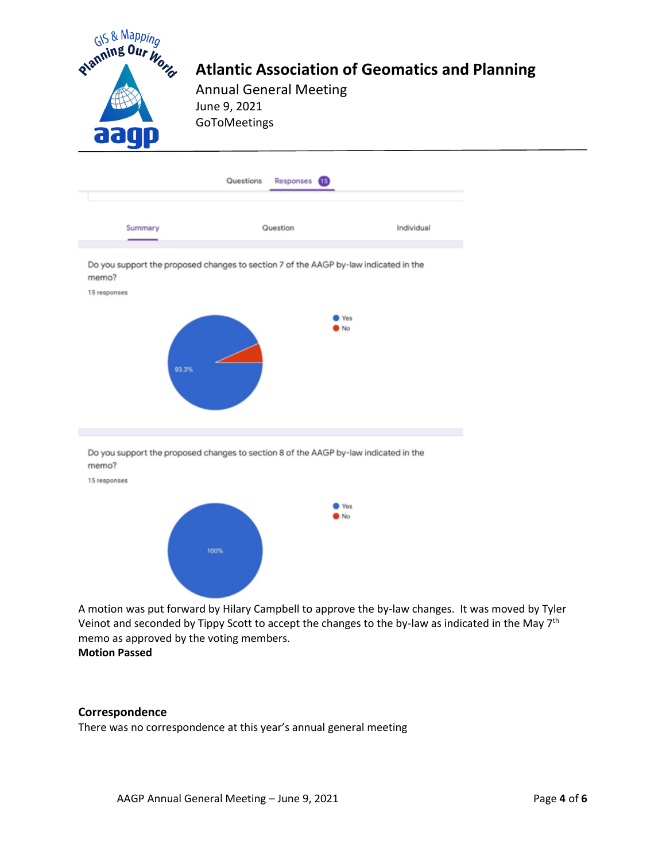

A motion was put forward by Hilary Campbell to approve the by-law changes. It was moved by Tyler Veinot and seconded by Tippy Scott to accept the changes to the by-law as indicated in the May 7<sup>th</sup> memo as approved by the voting members. **Motion Passed**

#### **Correspondence**

There was no correspondence at this year's annual general meeting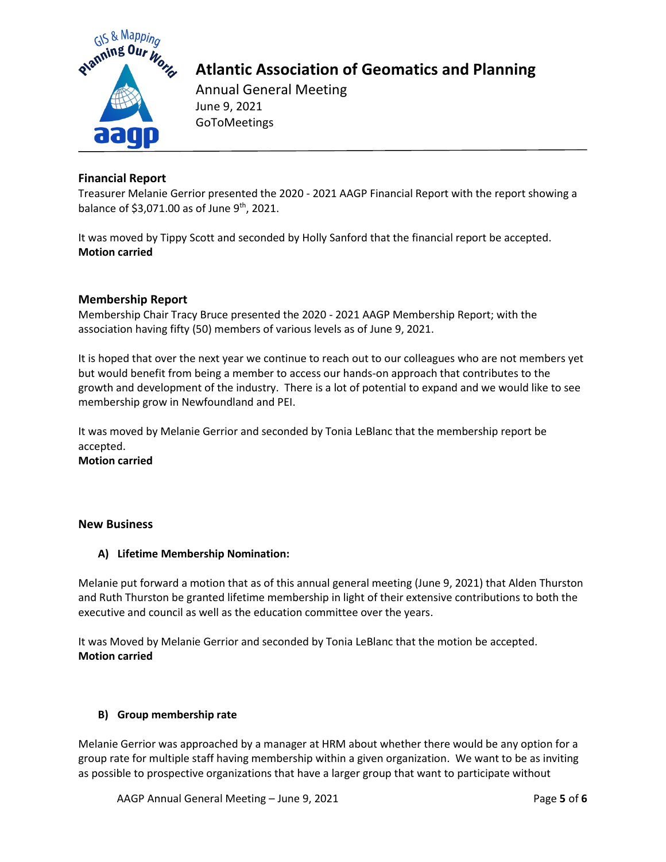

Annual General Meeting June 9, 2021 GoToMeetings

## **Financial Report**

Treasurer Melanie Gerrior presented the 2020 - 2021 AAGP Financial Report with the report showing a balance of \$3,071.00 as of June 9<sup>th</sup>, 2021.

It was moved by Tippy Scott and seconded by Holly Sanford that the financial report be accepted. **Motion carried**

## **Membership Report**

Membership Chair Tracy Bruce presented the 2020 - 2021 AAGP Membership Report; with the association having fifty (50) members of various levels as of June 9, 2021.

It is hoped that over the next year we continue to reach out to our colleagues who are not members yet but would benefit from being a member to access our hands-on approach that contributes to the growth and development of the industry. There is a lot of potential to expand and we would like to see membership grow in Newfoundland and PEI.

It was moved by Melanie Gerrior and seconded by Tonia LeBlanc that the membership report be accepted. **Motion carried**

#### **New Business**

#### **A) Lifetime Membership Nomination:**

Melanie put forward a motion that as of this annual general meeting (June 9, 2021) that Alden Thurston and Ruth Thurston be granted lifetime membership in light of their extensive contributions to both the executive and council as well as the education committee over the years.

It was Moved by Melanie Gerrior and seconded by Tonia LeBlanc that the motion be accepted. **Motion carried**

#### **B) Group membership rate**

Melanie Gerrior was approached by a manager at HRM about whether there would be any option for a group rate for multiple staff having membership within a given organization. We want to be as inviting as possible to prospective organizations that have a larger group that want to participate without

AAGP Annual General Meeting – June 9, 2021 Page **5** of **6**